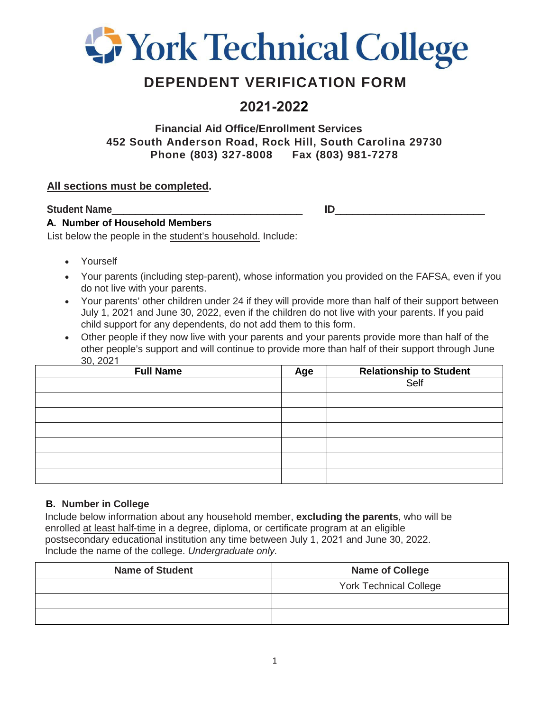

# **DEPENDENT VERIFICATION FORM**

## **2021-2022**

### **Financial Aid Office/Enrollment Services 452 South Anderson Road, Rock Hill, South Carolina 29730 Phone (803) 327-8008 Fax (803) 981-7278**

### **All sections must be completed.**

**Student Name** 

### **A. Number of Household Members**

List below the people in the student's household. Include:

- Yourself
- Your parents (including step-parent), whose information you provided on the FAFSA, even if you do not live with your parents.
- Your parents' other children under 24 if they will provide more than half of their support between July 1, 2021 and June 30, 2022, even if the children do not live with your parents. If you paid child support for any dependents, do not add them to this form.
- Other people if they now live with your parents and your parents provide more than half of the other people's support and will continue to provide more than half of their support through June 30, 2021

| <b>Full Name</b> | Age | <b>Relationship to Student</b><br>Self |
|------------------|-----|----------------------------------------|
|                  |     |                                        |
|                  |     |                                        |
|                  |     |                                        |
|                  |     |                                        |
|                  |     |                                        |
|                  |     |                                        |
|                  |     |                                        |

### **B. Number in College**

Include below information about any household member, **excluding the parents**, who will be enrolled at least half-time in a degree, diploma, or certificate program at an eligible postsecondary educational institution any time between July 1, 2021 and June 30, 2022. Include the name of the college. *Undergraduate only.*

| <b>Name of Student</b> | <b>Name of College</b>        |
|------------------------|-------------------------------|
|                        | <b>York Technical College</b> |
|                        |                               |
|                        |                               |